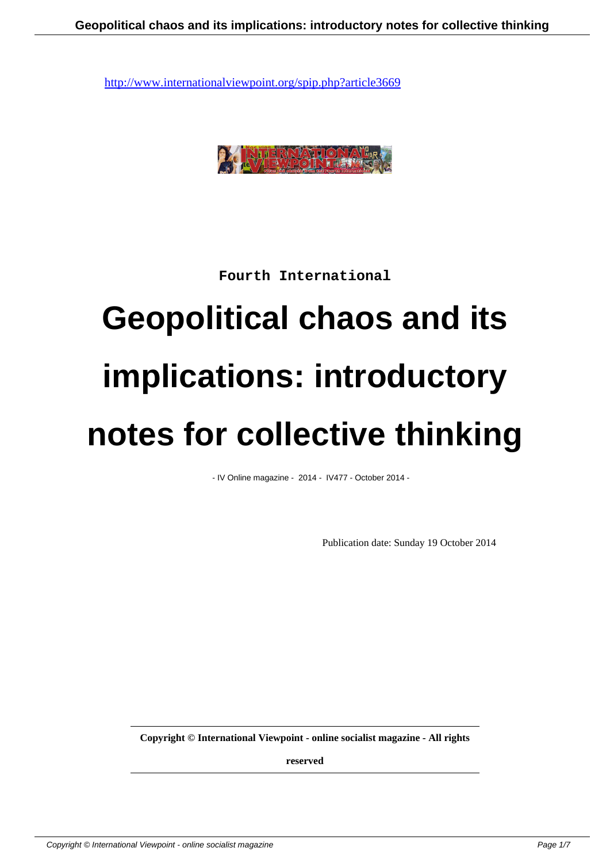

**Fourth International**

# **Geopolitical chaos and its implications: introductory notes for collective thinking**

- IV Online magazine - 2014 - IV477 - October 2014 -

Publication date: Sunday 19 October 2014

**Copyright © International Viewpoint - online socialist magazine - All rights**

**reserved**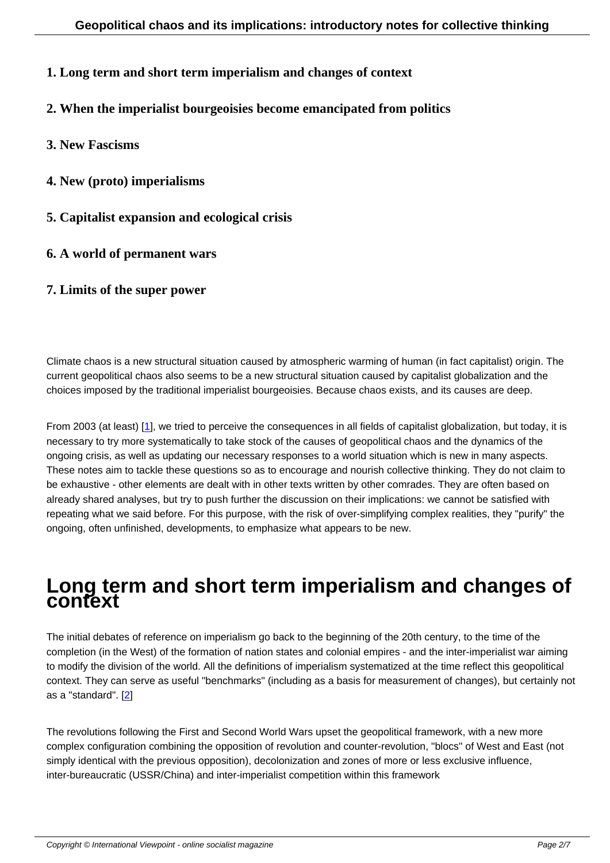- **1. Long term and short term imperialism and changes of context**
- **2. When the imperialist bourgeoisies become emancipated from politics**
- **3. New Fascisms**
- **4. New (proto) imperialisms**
- **5. Capitalist expansion and ecological crisis**
- **6. A world of permanent wars**
- **7. Limits of the super power**

Climate chaos is a new structural situation caused by atmospheric warming of human (in fact capitalist) origin. The current geopolitical chaos also seems to be a new structural situation caused by capitalist globalization and the choices imposed by the traditional imperialist bourgeoisies. Because chaos exists, and its causes are deep.

From 2003 (at least) [1], we tried to perceive the consequences in all fields of capitalist globalization, but today, it is necessary to try more systematically to take stock of the causes of geopolitical chaos and the dynamics of the ongoing crisis, as well as updating our necessary responses to a world situation which is new in many aspects. These notes aim to tackle these questions so as to encourage and nourish collective thinking. They do not claim to be exhaustive - other [e](#nb1)lements are dealt with in other texts written by other comrades. They are often based on already shared analyses, but try to push further the discussion on their implications: we cannot be satisfied with repeating what we said before. For this purpose, with the risk of over-simplifying complex realities, they "purify" the ongoing, often unfinished, developments, to emphasize what appears to be new.

#### **Long term and short term imperialism and changes of context**

The initial debates of reference on imperialism go back to the beginning of the 20th century, to the time of the completion (in the West) of the formation of nation states and colonial empires - and the inter-imperialist war aiming to modify the division of the world. All the definitions of imperialism systematized at the time reflect this geopolitical context. They can serve as useful "benchmarks" (including as a basis for measurement of changes), but certainly not as a "standard". [2]

The revolutions following the First and Second World Wars upset the geopolitical framework, with a new more complex configur[at](#nb2)ion combining the opposition of revolution and counter-revolution, "blocs" of West and East (not simply identical with the previous opposition), decolonization and zones of more or less exclusive influence, inter-bureaucratic (USSR/China) and inter-imperialist competition within this framework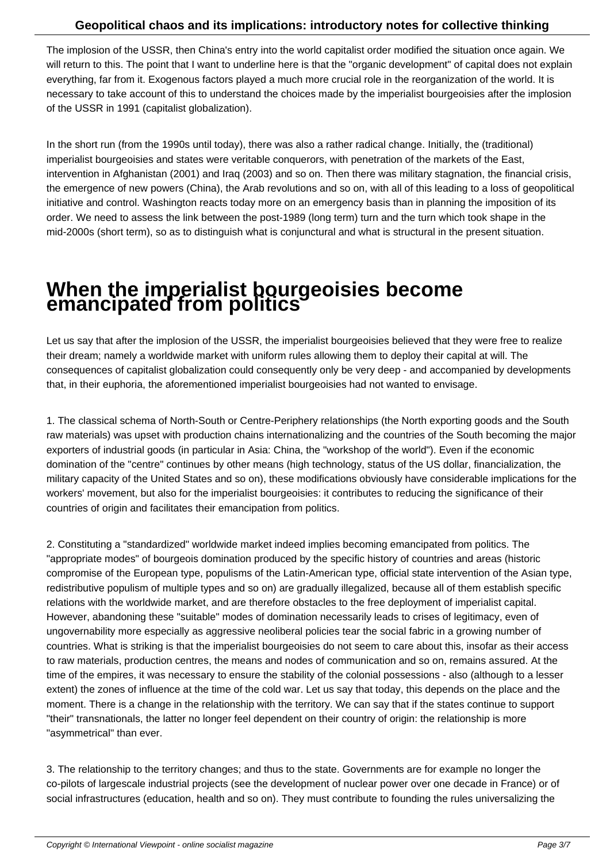The implosion of the USSR, then China's entry into the world capitalist order modified the situation once again. We will return to this. The point that I want to underline here is that the "organic development" of capital does not explain everything, far from it. Exogenous factors played a much more crucial role in the reorganization of the world. It is necessary to take account of this to understand the choices made by the imperialist bourgeoisies after the implosion of the USSR in 1991 (capitalist globalization).

In the short run (from the 1990s until today), there was also a rather radical change. Initially, the (traditional) imperialist bourgeoisies and states were veritable conquerors, with penetration of the markets of the East, intervention in Afghanistan (2001) and Iraq (2003) and so on. Then there was military stagnation, the financial crisis, the emergence of new powers (China), the Arab revolutions and so on, with all of this leading to a loss of geopolitical initiative and control. Washington reacts today more on an emergency basis than in planning the imposition of its order. We need to assess the link between the post-1989 (long term) turn and the turn which took shape in the mid-2000s (short term), so as to distinguish what is conjunctural and what is structural in the present situation.

## **When the imperialist bourgeoisies become emancipated from politics**

Let us say that after the implosion of the USSR, the imperialist bourgeoisies believed that they were free to realize their dream; namely a worldwide market with uniform rules allowing them to deploy their capital at will. The consequences of capitalist globalization could consequently only be very deep - and accompanied by developments that, in their euphoria, the aforementioned imperialist bourgeoisies had not wanted to envisage.

1. The classical schema of North-South or Centre-Periphery relationships (the North exporting goods and the South raw materials) was upset with production chains internationalizing and the countries of the South becoming the major exporters of industrial goods (in particular in Asia: China, the "workshop of the world"). Even if the economic domination of the "centre" continues by other means (high technology, status of the US dollar, financialization, the military capacity of the United States and so on), these modifications obviously have considerable implications for the workers' movement, but also for the imperialist bourgeoisies: it contributes to reducing the significance of their countries of origin and facilitates their emancipation from politics.

2. Constituting a "standardized" worldwide market indeed implies becoming emancipated from politics. The "appropriate modes" of bourgeois domination produced by the specific history of countries and areas (historic compromise of the European type, populisms of the Latin-American type, official state intervention of the Asian type, redistributive populism of multiple types and so on) are gradually illegalized, because all of them establish specific relations with the worldwide market, and are therefore obstacles to the free deployment of imperialist capital. However, abandoning these "suitable" modes of domination necessarily leads to crises of legitimacy, even of ungovernability more especially as aggressive neoliberal policies tear the social fabric in a growing number of countries. What is striking is that the imperialist bourgeoisies do not seem to care about this, insofar as their access to raw materials, production centres, the means and nodes of communication and so on, remains assured. At the time of the empires, it was necessary to ensure the stability of the colonial possessions - also (although to a lesser extent) the zones of influence at the time of the cold war. Let us say that today, this depends on the place and the moment. There is a change in the relationship with the territory. We can say that if the states continue to support "their" transnationals, the latter no longer feel dependent on their country of origin: the relationship is more "asymmetrical" than ever.

3. The relationship to the territory changes; and thus to the state. Governments are for example no longer the co-pilots of largescale industrial projects (see the development of nuclear power over one decade in France) or of social infrastructures (education, health and so on). They must contribute to founding the rules universalizing the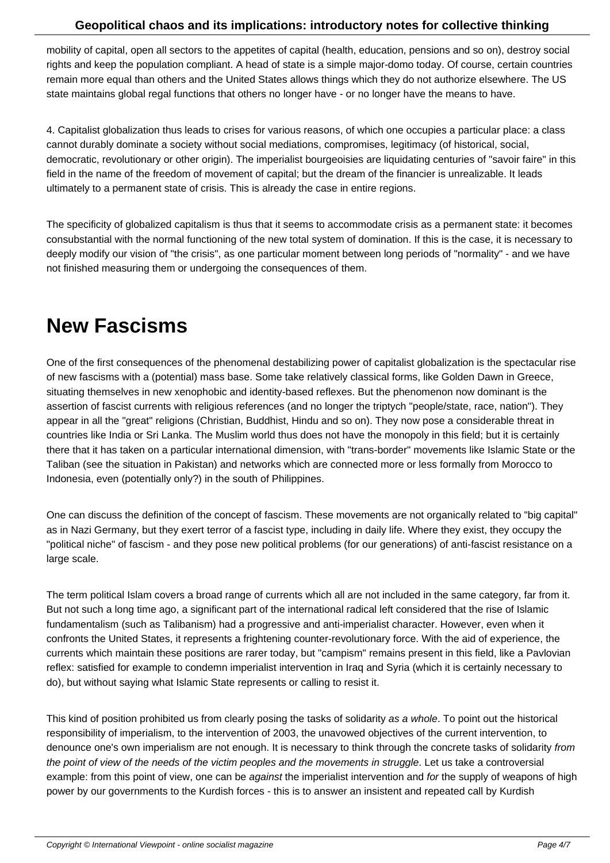mobility of capital, open all sectors to the appetites of capital (health, education, pensions and so on), destroy social rights and keep the population compliant. A head of state is a simple major-domo today. Of course, certain countries remain more equal than others and the United States allows things which they do not authorize elsewhere. The US state maintains global regal functions that others no longer have - or no longer have the means to have.

4. Capitalist globalization thus leads to crises for various reasons, of which one occupies a particular place: a class cannot durably dominate a society without social mediations, compromises, legitimacy (of historical, social, democratic, revolutionary or other origin). The imperialist bourgeoisies are liquidating centuries of "savoir faire" in this field in the name of the freedom of movement of capital; but the dream of the financier is unrealizable. It leads ultimately to a permanent state of crisis. This is already the case in entire regions.

The specificity of globalized capitalism is thus that it seems to accommodate crisis as a permanent state: it becomes consubstantial with the normal functioning of the new total system of domination. If this is the case, it is necessary to deeply modify our vision of "the crisis", as one particular moment between long periods of "normality" - and we have not finished measuring them or undergoing the consequences of them.

#### **New Fascisms**

One of the first consequences of the phenomenal destabilizing power of capitalist globalization is the spectacular rise of new fascisms with a (potential) mass base. Some take relatively classical forms, like Golden Dawn in Greece, situating themselves in new xenophobic and identity-based reflexes. But the phenomenon now dominant is the assertion of fascist currents with religious references (and no longer the triptych "people/state, race, nation"). They appear in all the "great" religions (Christian, Buddhist, Hindu and so on). They now pose a considerable threat in countries like India or Sri Lanka. The Muslim world thus does not have the monopoly in this field; but it is certainly there that it has taken on a particular international dimension, with "trans-border" movements like Islamic State or the Taliban (see the situation in Pakistan) and networks which are connected more or less formally from Morocco to Indonesia, even (potentially only?) in the south of Philippines.

One can discuss the definition of the concept of fascism. These movements are not organically related to "big capital" as in Nazi Germany, but they exert terror of a fascist type, including in daily life. Where they exist, they occupy the "political niche" of fascism - and they pose new political problems (for our generations) of anti-fascist resistance on a large scale.

The term political Islam covers a broad range of currents which all are not included in the same category, far from it. But not such a long time ago, a significant part of the international radical left considered that the rise of Islamic fundamentalism (such as Talibanism) had a progressive and anti-imperialist character. However, even when it confronts the United States, it represents a frightening counter-revolutionary force. With the aid of experience, the currents which maintain these positions are rarer today, but "campism" remains present in this field, like a Pavlovian reflex: satisfied for example to condemn imperialist intervention in Iraq and Syria (which it is certainly necessary to do), but without saying what Islamic State represents or calling to resist it.

This kind of position prohibited us from clearly posing the tasks of solidarity as a whole. To point out the historical responsibility of imperialism, to the intervention of 2003, the unavowed objectives of the current intervention, to denounce one's own imperialism are not enough. It is necessary to think through the concrete tasks of solidarity from the point of view of the needs of the victim peoples and the movements in struggle. Let us take a controversial example: from this point of view, one can be against the imperialist intervention and for the supply of weapons of high power by our governments to the Kurdish forces - this is to answer an insistent and repeated call by Kurdish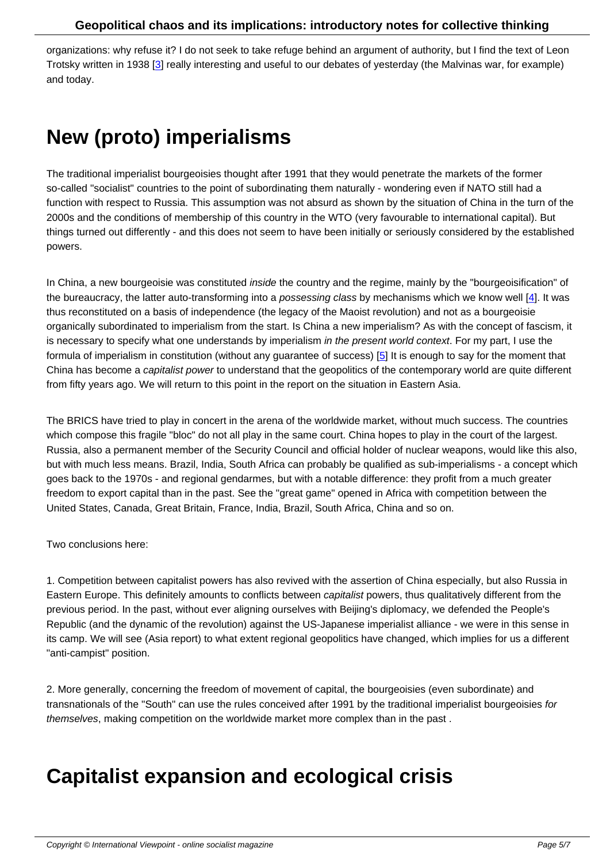organizations: why refuse it? I do not seek to take refuge behind an argument of authority, but I find the text of Leon Trotsky written in 1938 [3] really interesting and useful to our debates of yesterday (the Malvinas war, for example) and today.

### **New (proto) imperialisms**

The traditional imperialist bourgeoisies thought after 1991 that they would penetrate the markets of the former so-called "socialist" countries to the point of subordinating them naturally - wondering even if NATO still had a function with respect to Russia. This assumption was not absurd as shown by the situation of China in the turn of the 2000s and the conditions of membership of this country in the WTO (very favourable to international capital). But things turned out differently - and this does not seem to have been initially or seriously considered by the established powers.

In China, a new bourgeoisie was constituted *inside* the country and the regime, mainly by the "bourgeoisification" of the bureaucracy, the latter auto-transforming into a *possessing class* by mechanisms which we know well  $[4]$ . It was thus reconstituted on a basis of independence (the legacy of the Maoist revolution) and not as a bourgeoisie organically subordinated to imperialism from the start. Is China a new imperialism? As with the concept of fascism, it is necessary to specify what one understands by imperialism in the present world context. For my part, I use the formula of imperialism in constitution (without any guarantee of success) [5] It is enough to say for the mo[me](#nb4)nt that China has become a capitalist power to understand that the geopolitics of the contemporary world are quite different from fifty years ago. We will return to this point in the report on the situation in Eastern Asia.

The BRICS have tried to play in concert in the arena of the worldwide market, without much success. The countries which compose this fragile "bloc" do not all play in the same court. China hopes to play in the court of the largest. Russia, also a permanent member of the Security Council and official holder of nuclear weapons, would like this also, but with much less means. Brazil, India, South Africa can probably be qualified as sub-imperialisms - a concept which goes back to the 1970s - and regional gendarmes, but with a notable difference: they profit from a much greater freedom to export capital than in the past. See the "great game" opened in Africa with competition between the United States, Canada, Great Britain, France, India, Brazil, South Africa, China and so on.

Two conclusions here:

1. Competition between capitalist powers has also revived with the assertion of China especially, but also Russia in Eastern Europe. This definitely amounts to conflicts between capitalist powers, thus qualitatively different from the previous period. In the past, without ever aligning ourselves with Beijing's diplomacy, we defended the People's Republic (and the dynamic of the revolution) against the US-Japanese imperialist alliance - we were in this sense in its camp. We will see (Asia report) to what extent regional geopolitics have changed, which implies for us a different "anti-campist" position.

2. More generally, concerning the freedom of movement of capital, the bourgeoisies (even subordinate) and transnationals of the "South" can use the rules conceived after 1991 by the traditional imperialist bourgeoisies for themselves, making competition on the worldwide market more complex than in the past .

### **Capitalist expansion and ecological crisis**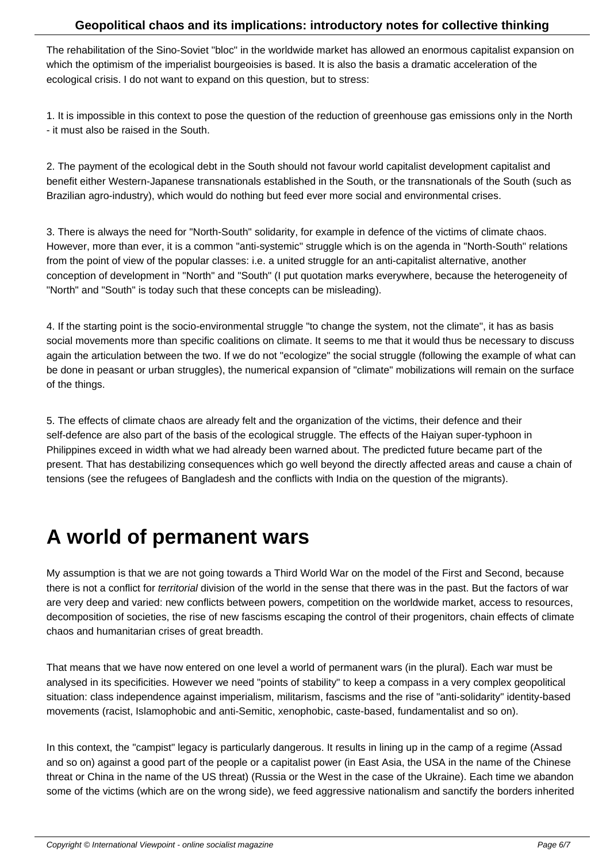The rehabilitation of the Sino-Soviet "bloc" in the worldwide market has allowed an enormous capitalist expansion on which the optimism of the imperialist bourgeoisies is based. It is also the basis a dramatic acceleration of the ecological crisis. I do not want to expand on this question, but to stress:

1. It is impossible in this context to pose the question of the reduction of greenhouse gas emissions only in the North - it must also be raised in the South.

2. The payment of the ecological debt in the South should not favour world capitalist development capitalist and benefit either Western-Japanese transnationals established in the South, or the transnationals of the South (such as Brazilian agro-industry), which would do nothing but feed ever more social and environmental crises.

3. There is always the need for "North-South" solidarity, for example in defence of the victims of climate chaos. However, more than ever, it is a common "anti-systemic" struggle which is on the agenda in "North-South" relations from the point of view of the popular classes: i.e. a united struggle for an anti-capitalist alternative, another conception of development in "North" and "South" (I put quotation marks everywhere, because the heterogeneity of "North" and "South" is today such that these concepts can be misleading).

4. If the starting point is the socio-environmental struggle "to change the system, not the climate", it has as basis social movements more than specific coalitions on climate. It seems to me that it would thus be necessary to discuss again the articulation between the two. If we do not "ecologize" the social struggle (following the example of what can be done in peasant or urban struggles), the numerical expansion of "climate" mobilizations will remain on the surface of the things.

5. The effects of climate chaos are already felt and the organization of the victims, their defence and their self-defence are also part of the basis of the ecological struggle. The effects of the Haiyan super-typhoon in Philippines exceed in width what we had already been warned about. The predicted future became part of the present. That has destabilizing consequences which go well beyond the directly affected areas and cause a chain of tensions (see the refugees of Bangladesh and the conflicts with India on the question of the migrants).

#### **A world of permanent wars**

My assumption is that we are not going towards a Third World War on the model of the First and Second, because there is not a conflict for territorial division of the world in the sense that there was in the past. But the factors of war are very deep and varied: new conflicts between powers, competition on the worldwide market, access to resources, decomposition of societies, the rise of new fascisms escaping the control of their progenitors, chain effects of climate chaos and humanitarian crises of great breadth.

That means that we have now entered on one level a world of permanent wars (in the plural). Each war must be analysed in its specificities. However we need "points of stability" to keep a compass in a very complex geopolitical situation: class independence against imperialism, militarism, fascisms and the rise of "anti-solidarity" identity-based movements (racist, Islamophobic and anti-Semitic, xenophobic, caste-based, fundamentalist and so on).

In this context, the "campist" legacy is particularly dangerous. It results in lining up in the camp of a regime (Assad and so on) against a good part of the people or a capitalist power (in East Asia, the USA in the name of the Chinese threat or China in the name of the US threat) (Russia or the West in the case of the Ukraine). Each time we abandon some of the victims (which are on the wrong side), we feed aggressive nationalism and sanctify the borders inherited